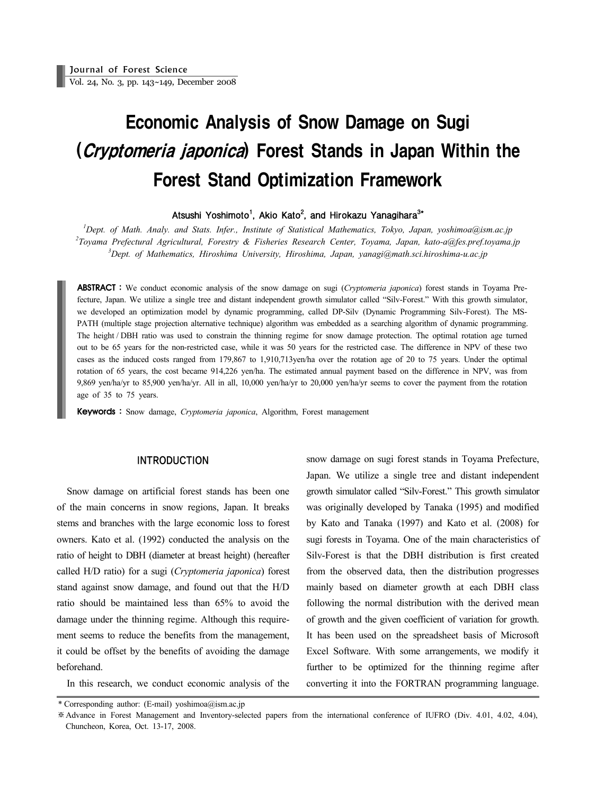# Economic Analysis of Snow Damage on Sugi (Cryptomeria japonica) Forest Stands in Japan Within the Forest Stand Optimization Framework

Atsushi Yoshimoto<sup>1</sup>, Akio Kato<sup>2</sup>, and Hirokazu Yanagihara<sup>3\*</sup>

*1 Dept. of Math. Analy. and Stats. Infer., Institute of Statistical Mathematics, Tokyo, Japan, yoshimoa@ism.ac.jp 2 Toyama Prefectural Agricultural, Forestry & Fisheries Research Center, Toyama, Japan, kato-a@fes.pref.toyama.jp 3 Dept. of Mathematics, Hiroshima University, Hiroshima, Japan, yanagi@math.sci.hiroshima-u.ac.jp*

ABSTRACT : We conduct economic analysis of the snow damage on sugi (*Cryptomeria japonica*) forest stands in Toyama Prefecture, Japan. We utilize a single tree and distant independent growth simulator called "Silv-Forest." With this growth simulator, we developed an optimization model by dynamic programming, called DP-Silv (Dynamic Programming Silv-Forest). The MS-PATH (multiple stage projection alternative technique) algorithm was embedded as a searching algorithm of dynamic programming. The height / DBH ratio was used to constrain the thinning regime for snow damage protection. The optimal rotation age turned out to be 65 years for the non-restricted case, while it was 50 years for the restricted case. The difference in NPV of these two cases as the induced costs ranged from 179,867 to 1,910,713yen/ha over the rotation age of 20 to 75 years. Under the optimal rotation of 65 years, the cost became 914,226 yen/ha. The estimated annual payment based on the difference in NPV, was from 9,869 yen/ha/yr to 85,900 yen/ha/yr. All in all, 10,000 yen/ha/yr to 20,000 yen/ha/yr seems to cover the payment from the rotation age of 35 to 75 years.

Keywords : Snow damage, *Cryptomeria japonica*, Algorithm, Forest management

# INTRODUCTION

Snow damage on artificial forest stands has been one of the main concerns in snow regions, Japan. It breaks stems and branches with the large economic loss to forest owners. Kato et al. (1992) conducted the analysis on the ratio of height to DBH (diameter at breast height) (hereafter called H/D ratio) for a sugi (*Cryptomeria japonica*) forest stand against snow damage, and found out that the H/D ratio should be maintained less than 65% to avoid the damage under the thinning regime. Although this requirement seems to reduce the benefits from the management, it could be offset by the benefits of avoiding the damage beforehand.

In this research, we conduct economic analysis of the

snow damage on sugi forest stands in Toyama Prefecture, Japan. We utilize a single tree and distant independent growth simulator called "Silv-Forest." This growth simulator was originally developed by Tanaka (1995) and modified by Kato and Tanaka (1997) and Kato et al. (2008) for sugi forests in Toyama. One of the main characteristics of Silv-Forest is that the DBH distribution is first created from the observed data, then the distribution progresses mainly based on diameter growth at each DBH class following the normal distribution with the derived mean of growth and the given coefficient of variation for growth. It has been used on the spreadsheet basis of Microsoft Excel Software. With some arrangements, we modify it further to be optimized for the thinning regime after converting it into the FORTRAN programming language.

<sup>\*</sup> Corresponding author: (E-mail) yoshimoa@ism.ac.jp

<sup>※</sup> Advance in Forest Management and Inventory-selected papers from the international conference of IUFRO (Div. 4.01, 4.02, 4.04), Chuncheon, Korea, Oct. 13-17, 2008.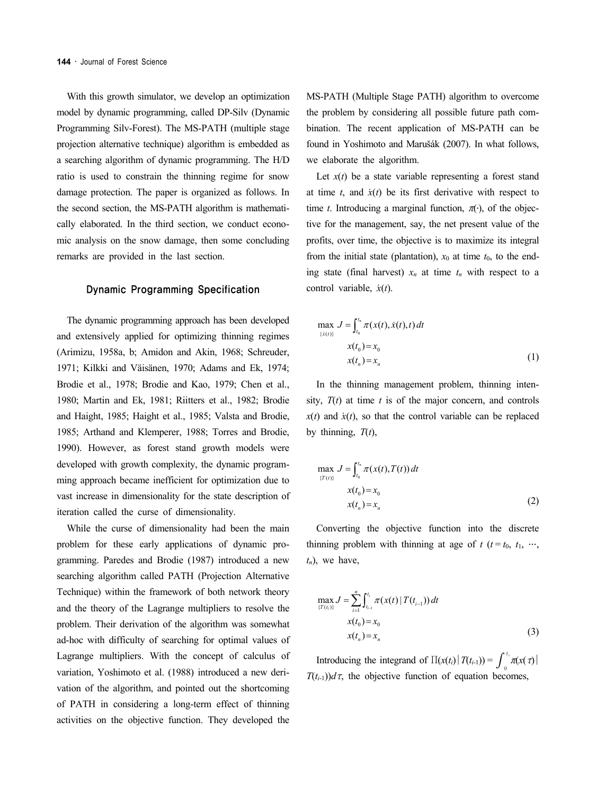With this growth simulator, we develop an optimization model by dynamic programming, called DP-Silv (Dynamic Programming Silv-Forest). The MS-PATH (multiple stage projection alternative technique) algorithm is embedded as a searching algorithm of dynamic programming. The H/D ratio is used to constrain the thinning regime for snow damage protection. The paper is organized as follows. In the second section, the MS-PATH algorithm is mathematically elaborated. In the third section, we conduct economic analysis on the snow damage, then some concluding remarks are provided in the last section.

### Dynamic Programming Specification

The dynamic programming approach has been developed and extensively applied for optimizing thinning regimes (Arimizu, 1958a, b; Amidon and Akin, 1968; Schreuder, 1971; Kilkki and Väisänen, 1970; Adams and Ek, 1974; Brodie et al., 1978; Brodie and Kao, 1979; Chen et al., 1980; Martin and Ek, 1981; Riitters et al., 1982; Brodie and Haight, 1985; Haight et al., 1985; Valsta and Brodie, 1985; Arthand and Klemperer, 1988; Torres and Brodie, 1990). However, as forest stand growth models were developed with growth complexity, the dynamic programming approach became inefficient for optimization due to vast increase in dimensionality for the state description of iteration called the curse of dimensionality.

While the curse of dimensionality had been the main problem for these early applications of dynamic programming. Paredes and Brodie (1987) introduced a new searching algorithm called PATH (Projection Alternative Technique) within the framework of both network theory and the theory of the Lagrange multipliers to resolve the problem. Their derivation of the algorithm was somewhat ad-hoc with difficulty of searching for optimal values of Lagrange multipliers. With the concept of calculus of variation, Yoshimoto et al. (1988) introduced a new derivation of the algorithm, and pointed out the shortcoming of PATH in considering a long-term effect of thinning activities on the objective function. They developed the MS-PATH (Multiple Stage PATH) algorithm to overcome the problem by considering all possible future path combination. The recent application of MS-PATH can be found in Yoshimoto and Marušák (2007). In what follows, we elaborate the algorithm.

Let  $x(t)$  be a state variable representing a forest stand at time  $t$ , and  $\dot{x}(t)$  be its first derivative with respect to time *t*. Introducing a marginal function,  $\pi(\cdot)$ , of the objective for the management, say, the net present value of the profits, over time, the objective is to maximize its integral from the initial state (plantation),  $x_0$  at time  $t_0$ , to the ending state (final harvest)  $x_n$  at time  $t_n$  with respect to a control variable, *x*̇(*t*).

$$
\max_{\{\dot{x}(t)\}} J = \int_{t_0}^{t_n} \pi(x(t), \dot{x}(t), t) dt
$$
  

$$
x(t_0) = x_0
$$
  

$$
x(t_n) = x_n
$$
 (1)

In the thinning management problem, thinning intensity,  $T(t)$  at time  $t$  is of the major concern, and controls  $x(t)$  and  $\dot{x}(t)$ , so that the control variable can be replaced by thinning, *T*(*t*),

$$
\max_{\{T(t)\}} J = \int_{t_0}^{t_n} \pi(x(t), T(t)) dt
$$
  

$$
x(t_0) = x_0
$$
  

$$
x(t_n) = x_n
$$
 (2)

Converting the objective function into the discrete thinning problem with thinning at age of  $t$  ( $t = t_0, t_1, \dots, t_n$ ) *tn*), we have,

$$
\max_{\{T(t_i)\}} J = \sum_{i=1}^n \int_{t_{i-1}}^{t_i} \pi(x(t) | T(t_{i-1})) dt
$$
  

$$
x(t_0) = x_0
$$
  

$$
x(t_n) = x_n
$$
 (3)

Introducing the integrand of  $\Pi(x(t_i) | T(t_{i-1})) = \int_0^{t_i} \pi(x(\tau)) | T(t_{i-1})|$  $T(t_{i-1})$ )*d*  $\tau$ , the objective function of equation becomes,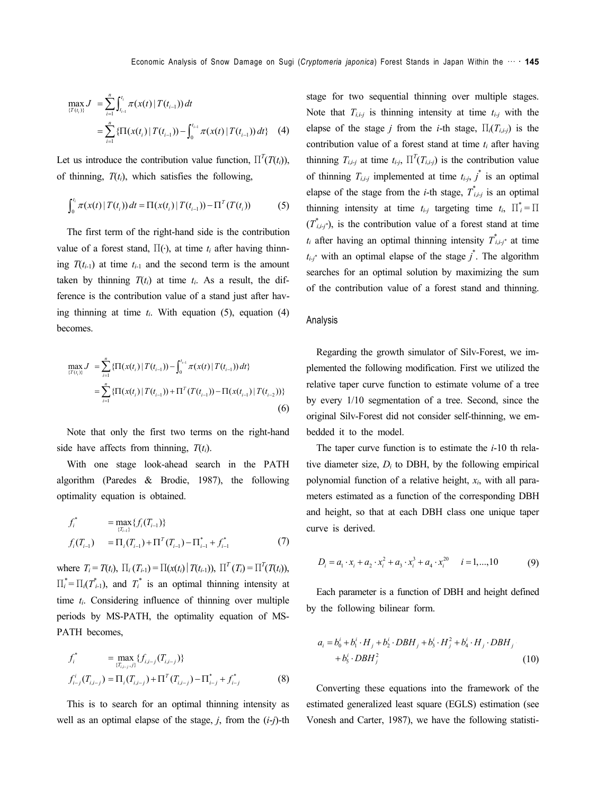$$
\max_{\{T(t_i)\}} J = \sum_{i=1}^n \int_{t_{i-1}}^{t_i} \pi(x(t) | T(t_{i-1})) dt
$$
  
= 
$$
\sum_{i=1}^n \{ \Pi(x(t_i) | T(t_{i-1})) - \int_0^{t_{i-1}} \pi(x(t) | T(t_{i-1})) dt \} (4)
$$

Let us introduce the contribution value function,  $\Pi^{T}(T(t_{i}))$ , of thinning,  $T(t_i)$ , which satisfies the following,

$$
\int_0^{t_i} \pi(x(t) | T(t_i)) dt = \Pi(x(t_i) | T(t_{i-1})) - \Pi^T(T(t_i))
$$
 (5)

The first term of the right-hand side is the contribution value of a forest stand,  $\Pi(\cdot)$ , at time  $t_i$  after having thinning  $T(t_{i-1})$  at time  $t_{i-1}$  and the second term is the amount taken by thinning  $T(t_i)$  at time  $t_i$ . As a result, the difference is the contribution value of a stand just after having thinning at time  $t_i$ . With equation (5), equation (4) becomes.

$$
\max_{\{T(t_i)\}} J = \sum_{i=1}^n \{ \Pi(x(t_i) | T(t_{i-1})) - \int_0^{t_{i-1}} \pi(x(t) | T(t_{i-1})) dt \}
$$
  
= 
$$
\sum_{i=1}^n \{ \Pi(x(t_i) | T(t_{i-1})) + \Pi^T(T(t_{i-1})) - \Pi(x(t_{i-1}) | T(t_{i-2})) \}
$$
(6)

Note that only the first two terms on the right-hand side have affects from thinning, *T*(*ti*).

With one stage look-ahead search in the PATH algorithm (Paredes & Brodie, 1987), the following optimality equation is obtained.

$$
f_i^* = \max_{\{T_{i-1}\}} \{f_i(T_{i-1})\}
$$
  

$$
f_i(T_{i-1}) = \Pi_i(T_{i-1}) + \Pi^T(T_{i-1}) - \Pi_{i-1}^* + f_{i-1}^*
$$
 (7)

where  $T_i = T(t_i)$ ,  $\Pi_i(T_{i-1}) = \Pi(x(t_i) | T(t_{i-1}))$ ,  $\Pi^T(T_i) = \Pi^T(T(t_i))$ ,  $\prod_{i}^{*} = \prod_{i}(\overline{T}_{i-1}^{*})$ , and  $\overline{T}_{i}^{*}$  is an optimal thinning intensity at time *ti*. Considering influence of thinning over multiple periods by MS-PATH, the optimality equation of MS-PATH becomes,

$$
f_i^* = \max_{(T_{i,i-j},j)} \{f_{i,i-j}(T_{i,i-j})\}
$$
  

$$
f_{i-j}^i(T_{i,i-j}) = \Pi_i(T_{i,i-j}) + \Pi^T(T_{i,i-j}) - \Pi_{i-j}^* + f_{i-j}^*
$$
 (8)

This is to search for an optimal thinning intensity as well as an optimal elapse of the stage, *j*, from the (*i*-*j*)-th stage for two sequential thinning over multiple stages. Note that  $T_{i,i-j}$  is thinning intensity at time  $t_{i-j}$  with the elapse of the stage *j* from the *i*-th stage,  $\Pi_i(T_{i,i-j})$  is the contribution value of a forest stand at time *ti* after having thinning  $T_{i,i,j}$  at time  $t_{i,j}$ ,  $\prod^{T}(T_{i,i,j})$  is the contribution value of thinning  $T_{i,i-j}$  implemented at time  $t_{i-j}$ ,  $j^*$  is an optimal elapse of the stage from the *i*-th stage,  $T^*_{i,i-j}$  is an optimal thinning intensity at time  $t_{i-j}$  targeting time  $t_i$ ,  $\prod_{i=1}^{i}$  $(T^*_{i,i,j^*})$ , is the contribution value of a forest stand at time  $t_i$  after having an optimal thinning intensity  $\overline{T}^*_{i,i,j^*}$  at time  $t_{i,j}$ <sup>\*</sup> with an optimal elapse of the stage  $j^*$ . The algorithm searches for an optimal solution by maximizing the sum of the contribution value of a forest stand and thinning.

#### Analysis

Regarding the growth simulator of Silv-Forest, we implemented the following modification. First we utilized the relative taper curve function to estimate volume of a tree by every 1/10 segmentation of a tree. Second, since the original Silv-Forest did not consider self-thinning, we embedded it to the model.

The taper curve function is to estimate the *i*-10 th relative diameter size,  $D_i$  to DBH, by the following empirical polynomial function of a relative height, *xi*, with all parameters estimated as a function of the corresponding DBH and height, so that at each DBH class one unique taper curve is derived.

$$
D_i = a_1 \cdot x_i + a_2 \cdot x_i^2 + a_3 \cdot x_i^3 + a_4 \cdot x_i^{20} \qquad i = 1,...,10
$$
 (9)

Each parameter is a function of DBH and height defined by the following bilinear form.

$$
a_i = b_0^i + b_1^i \cdot H_j + b_2^i \cdot DBH_j + b_3^i \cdot H_j^2 + b_4^i \cdot H_j \cdot DBH_j
$$
  
+ 
$$
b_5^i \cdot DBH_j^2
$$
 (10)

Converting these equations into the framework of the estimated generalized least square (EGLS) estimation (see Vonesh and Carter, 1987), we have the following statisti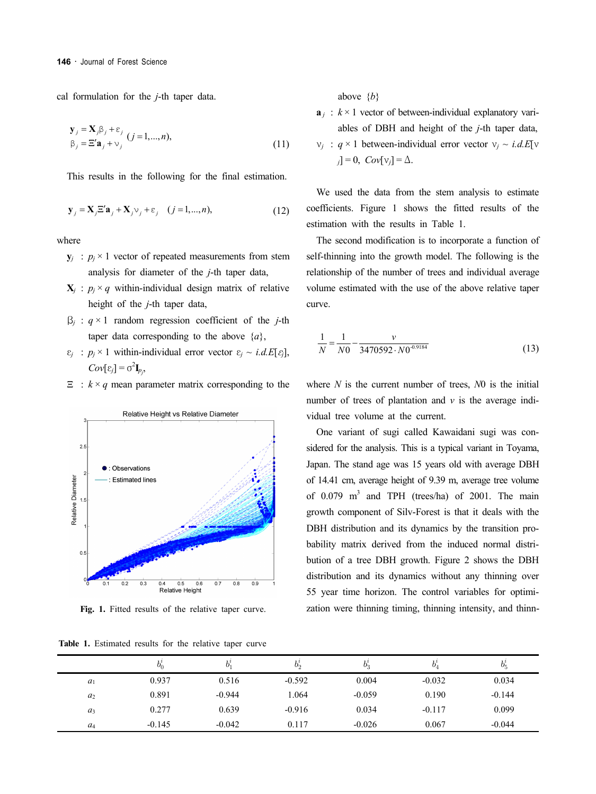cal formulation for the *j*-th taper data.

$$
\mathbf{y}_{j} = \mathbf{X}_{j} \beta_{j} + \varepsilon_{j} \quad (j = 1, ..., n),
$$
  
\n
$$
\beta_{j} = \Xi' \mathbf{a}_{j} + \nu_{j} \quad (11)
$$

This results in the following for the final estimation.

$$
\mathbf{y}_{j} = \mathbf{X}_{j} \Xi' \mathbf{a}_{j} + \mathbf{X}_{j} \nu_{j} + \varepsilon_{j} \quad (j = 1, ..., n),
$$
 (12)

where

- $y_i$  :  $p_i \times 1$  vector of repeated measurements from stem analysis for diameter of the *j*-th taper data,
- $X_i$ :  $p_i \times q$  within-individual design matrix of relative height of the *j*-th taper data,
- β*<sup>j</sup>* : *q* × 1 random regression coefficient of the *j*-th taper data corresponding to the above  $\{a\}$ ,
- $\varepsilon_i$  :  $p_i \times 1$  within-individual error vector  $\varepsilon_i \sim i.d.E[\varepsilon_i]$ ,  $Cov[\varepsilon_j] = \sigma^2 \mathbf{I}_{p_j}$
- $\Xi$ :  $k \times q$  mean parameter matrix corresponding to the



Fig. 1. Fitted results of the relative taper curve.

**Table 1.** Estimated results for the relative taper curve

above {*b*}

- $\mathbf{a}_i$  :  $k \times 1$  vector of between-individual explanatory variables of DBH and height of the *j*-th taper data,
- $v_j$  : *q* × 1 between-individual error vector  $v_j \sim i.d.E[v]$  $j = 0$ ,  $Cov[v_j] = \Delta$ .

We used the data from the stem analysis to estimate coefficients. Figure 1 shows the fitted results of the estimation with the results in Table 1.

The second modification is to incorporate a function of self-thinning into the growth model. The following is the relationship of the number of trees and individual average volume estimated with the use of the above relative taper curve.

$$
\frac{1}{N} = \frac{1}{N0} - \frac{\nu}{3470592 \cdot N0^{0.9184}}
$$
(13)

where *N* is the current number of trees, *N*0 is the initial number of trees of plantation and *v* is the average individual tree volume at the current.

One variant of sugi called Kawaidani sugi was considered for the analysis. This is a typical variant in Toyama, Japan. The stand age was 15 years old with average DBH of 14.41 cm, average height of 9.39 m, average tree volume of  $0.079$  m<sup>3</sup> and TPH (trees/ha) of 2001. The main growth component of Silv-Forest is that it deals with the DBH distribution and its dynamics by the transition probability matrix derived from the induced normal distribution of a tree DBH growth. Figure 2 shows the DBH distribution and its dynamics without any thinning over 55 year time horizon. The control variables for optimization were thinning timing, thinning intensity, and thinn-

|                | $b^{\imath}_{0}$ | b.       | $v_{\alpha}$ | $\upsilon_{2}$ | b,       | $b^i$    |
|----------------|------------------|----------|--------------|----------------|----------|----------|
| $a_1$          | 0.937            | 0.516    | $-0.592$     | 0.004          | $-0.032$ | 0.034    |
| $a_2$          | 0.891            | $-0.944$ | 1.064        | $-0.059$       | 0.190    | $-0.144$ |
| $a_3$          | 0.277            | 0.639    | $-0.916$     | 0.034          | $-0.117$ | 0.099    |
| a <sub>4</sub> | $-0.145$         | $-0.042$ | 0.117        | $-0.026$       | 0.067    | $-0.044$ |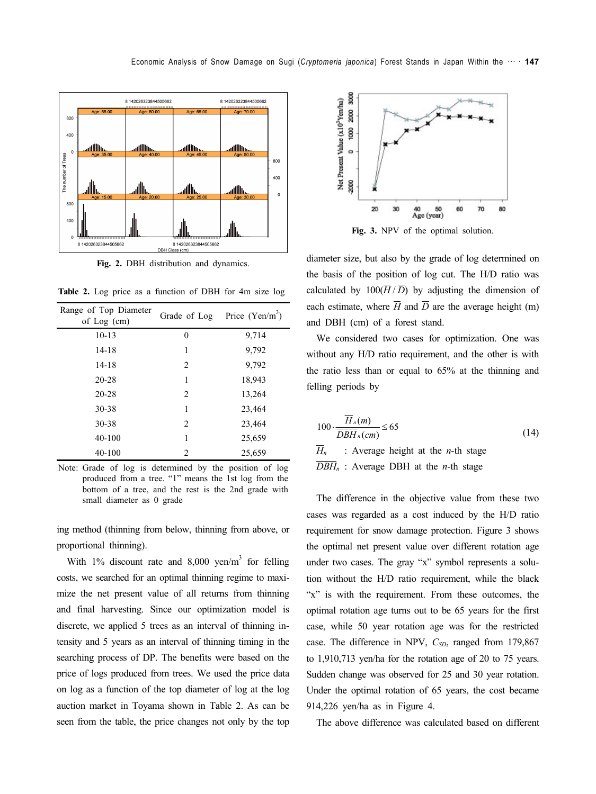

**Fig. 2.** DBH distribution and dynamics.

**Table 2.** Log price as a function of DBH for 4m size log

| Range of Top Diameter<br>of $Log (cm)$ | Grade of Log   | Price $(Yen/m^3)$ |  |
|----------------------------------------|----------------|-------------------|--|
| $10-13$                                | 0              | 9,714             |  |
| $14 - 18$                              | 1              | 9,792             |  |
| $14 - 18$                              | $\overline{2}$ | 9,792             |  |
| $20 - 28$                              | 1              | 18,943            |  |
| $20 - 28$                              | 2              | 13,264            |  |
| 30-38                                  | 1              | 23,464            |  |
| 30-38                                  | $\overline{c}$ | 23,464            |  |
| $40 - 100$                             | 1              | 25,659            |  |
| 40-100                                 | 2              | 25,659            |  |

Note: Grade of log is determined by the position of log produced from a tree. "1" means the 1st log from the bottom of a tree, and the rest is the 2nd grade with small diameter as 0 grade

ing method (thinning from below, thinning from above, or proportional thinning).

With 1% discount rate and 8,000 yen/ $m<sup>3</sup>$  for felling costs, we searched for an optimal thinning regime to maximize the net present value of all returns from thinning and final harvesting. Since our optimization model is discrete, we applied 5 trees as an interval of thinning intensity and 5 years as an interval of thinning timing in the searching process of DP. The benefits were based on the price of logs produced from trees. We used the price data on log as a function of the top diameter of log at the log auction market in Toyama shown in Table 2. As can be seen from the table, the price changes not only by the top



**Fig. 3.** NPV of the optimal solution.

diameter size, but also by the grade of log determined on the basis of the position of log cut. The H/D ratio was calculated by  $100(\overline{H}/\overline{D})$  by adjusting the dimension of each estimate, where  $\overline{H}$  and  $\overline{D}$  are the average height (m) and DBH (cm) of a forest stand.

We considered two cases for optimization. One was without any H/D ratio requirement, and the other is with the ratio less than or equal to 65% at the thinning and felling periods by

$$
100 \cdot \frac{\overline{H}_n(m)}{\overline{DBH}_n(cm)} \le 65
$$
\n
$$
\overline{H}_n : \text{Average height at the } n\text{-th stage}
$$
\n
$$
\overline{DBH}_n : \text{Average DBH at the } n\text{-th stage}
$$
\n(14)

The difference in the objective value from these two cases was regarded as a cost induced by the H/D ratio requirement for snow damage protection. Figure 3 shows the optimal net present value over different rotation age under two cases. The gray "x" symbol represents a solution without the H/D ratio requirement, while the black "x" is with the requirement. From these outcomes, the optimal rotation age turns out to be 65 years for the first case, while 50 year rotation age was for the restricted case. The difference in NPV, *C<sub>SD</sub>*, ranged from 179,867 to 1,910,713 yen/ha for the rotation age of 20 to 75 years. Sudden change was observed for 25 and 30 year rotation. Under the optimal rotation of 65 years, the cost became 914,226 yen/ha as in Figure 4.

The above difference was calculated based on different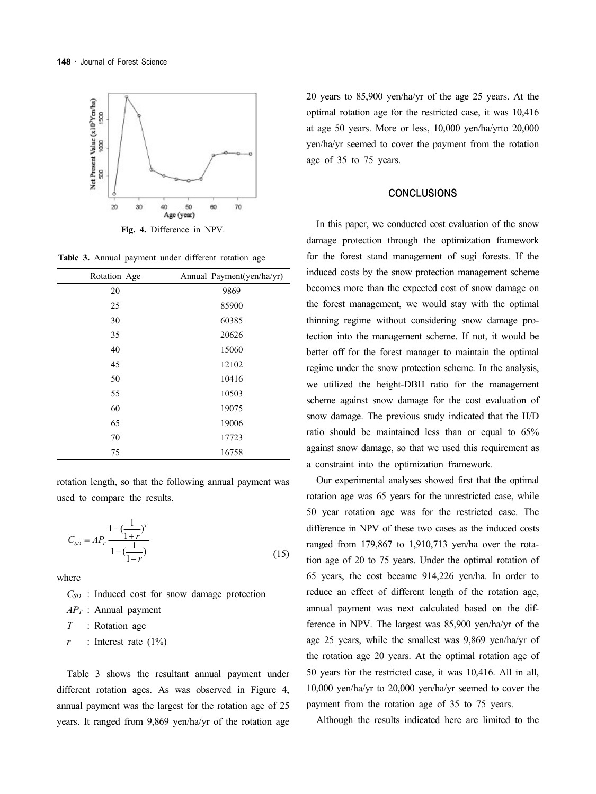

**Fig. 4.** Difference in NPV.

**Table 3.** Annual payment under different rotation age

| Rotation Age | Annual Payment(yen/ha/yr) |
|--------------|---------------------------|
| 20           | 9869                      |
| 25           | 85900                     |
| 30           | 60385                     |
| 35           | 20626                     |
| 40           | 15060                     |
| 45           | 12102                     |
| 50           | 10416                     |
| 55           | 10503                     |
| 60           | 19075                     |
| 65           | 19006                     |
| 70           | 17723                     |
| 75           | 16758                     |

rotation length, so that the following annual payment was used to compare the results.

$$
C_{SD} = AP_r \frac{1 - \left(\frac{1}{1+r}\right)^T}{1 - \left(\frac{1}{1+r}\right)}
$$
\n(15)

where

*CSD* : Induced cost for snow damage protection

*APT* : Annual payment

*T* : Rotation age

 $r$  : Interest rate  $(1\%)$ 

Table 3 shows the resultant annual payment under different rotation ages. As was observed in Figure 4, annual payment was the largest for the rotation age of 25 years. It ranged from 9,869 yen/ha/yr of the rotation age

20 years to 85,900 yen/ha/yr of the age 25 years. At the optimal rotation age for the restricted case, it was 10,416 at age 50 years. More or less, 10,000 yen/ha/yrto 20,000 yen/ha/yr seemed to cover the payment from the rotation age of 35 to 75 years.

#### **CONCLUSIONS**

In this paper, we conducted cost evaluation of the snow damage protection through the optimization framework for the forest stand management of sugi forests. If the induced costs by the snow protection management scheme becomes more than the expected cost of snow damage on the forest management, we would stay with the optimal thinning regime without considering snow damage protection into the management scheme. If not, it would be better off for the forest manager to maintain the optimal regime under the snow protection scheme. In the analysis, we utilized the height-DBH ratio for the management scheme against snow damage for the cost evaluation of snow damage. The previous study indicated that the H/D ratio should be maintained less than or equal to 65% against snow damage, so that we used this requirement as a constraint into the optimization framework.

Our experimental analyses showed first that the optimal rotation age was 65 years for the unrestricted case, while 50 year rotation age was for the restricted case. The difference in NPV of these two cases as the induced costs ranged from 179,867 to 1,910,713 yen/ha over the rotation age of 20 to 75 years. Under the optimal rotation of 65 years, the cost became 914,226 yen/ha. In order to reduce an effect of different length of the rotation age, annual payment was next calculated based on the difference in NPV. The largest was 85,900 yen/ha/yr of the age 25 years, while the smallest was 9,869 yen/ha/yr of the rotation age 20 years. At the optimal rotation age of 50 years for the restricted case, it was 10,416. All in all, 10,000 yen/ha/yr to 20,000 yen/ha/yr seemed to cover the payment from the rotation age of 35 to 75 years.

Although the results indicated here are limited to the